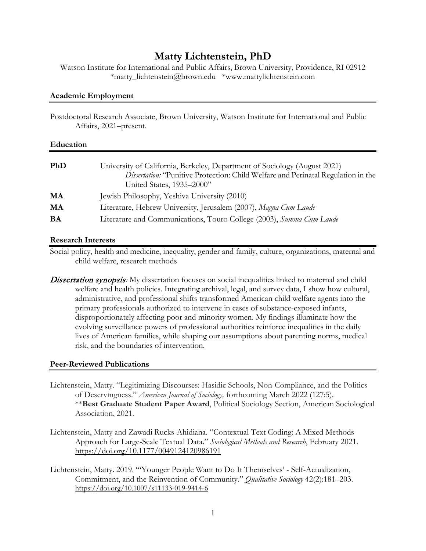# **Matty Lichtenstein, PhD**

Watson Institute for International and Public Affairs, Brown University, Providence, RI 02912 \*matty\_lichtenstein@brown.edu \*www.mattylichtenstein.com

## **Academic Employment**

Postdoctoral Research Associate, Brown University, Watson Institute for International and Public Affairs, 2021–present.

| <b>PhD</b> | University of California, Berkeley, Department of Sociology (August 2021)<br>Dissertation: "Punitive Protection: Child Welfare and Perinatal Regulation in the<br>United States, 1935-2000" |
|------------|---------------------------------------------------------------------------------------------------------------------------------------------------------------------------------------------|
| MA         | Jewish Philosophy, Yeshiva University (2010)                                                                                                                                                |
| MA         | Literature, Hebrew University, Jerusalem (2007), Magna Cum Laude                                                                                                                            |
| <b>BA</b>  | Literature and Communications, Touro College (2003), Summa Cum Laude                                                                                                                        |

## **Research Interests**

Social policy, health and medicine, inequality, gender and family, culture, organizations, maternal and child welfare, research methods

**Dissertation synopsis:** My dissertation focuses on social inequalities linked to maternal and child welfare and health policies. Integrating archival, legal, and survey data, I show how cultural, administrative, and professional shifts transformed American child welfare agents into the primary professionals authorized to intervene in cases of substance-exposed infants, disproportionately affecting poor and minority women. My findings illuminate how the evolving surveillance powers of professional authorities reinforce inequalities in the daily lives of American families, while shaping our assumptions about parenting norms, medical risk, and the boundaries of intervention.

## **Peer-Reviewed Publications**

- Lichtenstein, Matty. "Legitimizing Discourses: Hasidic Schools, Non-Compliance, and the Politics of Deservingness." *American Journal of Sociology,* forthcoming March 2022 (127:5). \*\***Best Graduate Student Paper Award**, Political Sociology Section, American Sociological Association, 2021.
- Lichtenstein, Matty and Zawadi Rucks-Ahidiana. "Contextual Text Coding: A Mixed Methods Approach for Large-Scale Textual Data." *Sociological Methods and Research*, February 2021. https://doi.org[/10.1177/0049124120986191](https://doi-org.libproxy.berkeley.edu/10.1177/0049124120986191)
- Lichtenstein, Matty. 2019. "'Younger People Want to Do It Themselves' Self-Actualization, Commitment, and the Reinvention of Community." *Qualitative Sociology* 42(2):181–203. <https://doi.org/10.1007/s11133-019-9414-6>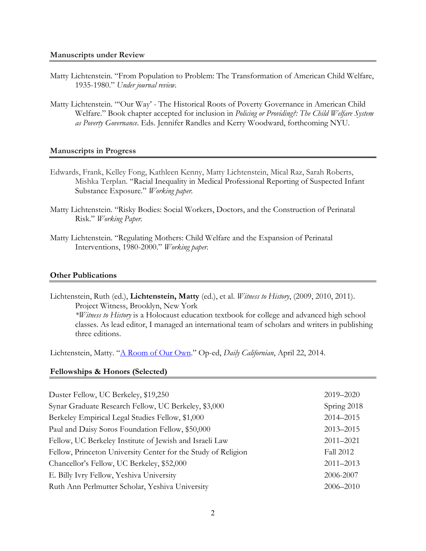- Matty Lichtenstein. "From Population to Problem: The Transformation of American Child Welfare, 1935-1980." *Under journal review.*
- Matty Lichtenstein. "'Our Way' The Historical Roots of Poverty Governance in American Child Welfare." Book chapter accepted for inclusion in *Policing or Providing?: The Child Welfare System as Poverty Governance*. Eds. Jennifer Randles and Kerry Woodward, forthcoming NYU.

#### **Manuscripts in Progress**

- Edwards, Frank, Kelley Fong, Kathleen Kenny, Matty Lichtenstein, Mical Raz, Sarah Roberts, Mishka Terplan. "Racial Inequality in Medical Professional Reporting of Suspected Infant Substance Exposure." *Working paper.*
- Matty Lichtenstein. "Risky Bodies: Social Workers, Doctors, and the Construction of Perinatal Risk." *Working Paper.*
- Matty Lichtenstein. "Regulating Mothers: Child Welfare and the Expansion of Perinatal Interventions, 1980-2000." *Working paper.*

#### **Other Publications**

Lichtenstein, Ruth (ed.), **Lichtenstein, Matty** (ed.), et al. *Witness to History*, (2009, 2010, 2011). Project Witness, Brooklyn, New York  *\*Witness to History* is a Holocaust education textbook for college and advanced high school classes. As lead editor, I managed an international team of scholars and writers in publishing three editions.

Lichtenstein, Matty. ["A Room of Our Own.](https://www.dailycal.org/2014/04/22/room/)" Op-ed, *Daily Californian*, April 22, 2014.

#### **Fellowships & Honors (Selected)**

| Duster Fellow, UC Berkeley, \$19,250                          | 2019-2020     |
|---------------------------------------------------------------|---------------|
| Synar Graduate Research Fellow, UC Berkeley, \$3,000          | Spring 2018   |
| Berkeley Empirical Legal Studies Fellow, \$1,000              | 2014-2015     |
| Paul and Daisy Soros Foundation Fellow, \$50,000              | 2013-2015     |
| Fellow, UC Berkeley Institute of Jewish and Israeli Law       | $2011 - 2021$ |
| Fellow, Princeton University Center for the Study of Religion | Fall 2012     |
| Chancellor's Fellow, UC Berkeley, \$52,000                    | $2011 - 2013$ |
| E. Billy Ivry Fellow, Yeshiva University                      | 2006-2007     |
| Ruth Ann Perlmutter Scholar, Yeshiva University               |               |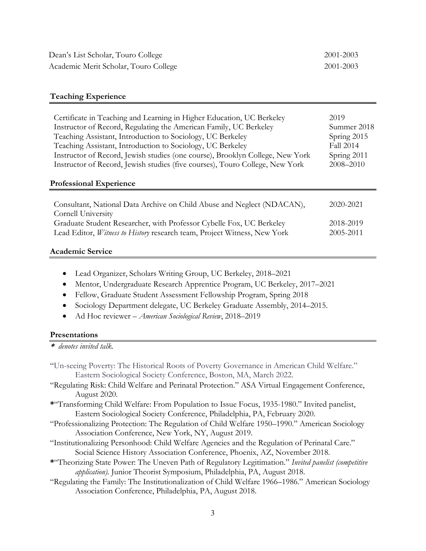#### **Teaching Experience**

| Certificate in Teaching and Learning in Higher Education, UC Berkeley<br>Instructor of Record, Regulating the American Family, UC Berkeley<br>Teaching Assistant, Introduction to Sociology, UC Berkeley<br>Teaching Assistant, Introduction to Sociology, UC Berkeley<br>Instructor of Record, Jewish studies (one course), Brooklyn College, New York<br>Instructor of Record, Jewish studies (five courses), Touro College, New York<br><b>Professional Experience</b> | 2019<br>Summer 2018<br>Spring 2015<br>Fall 2014<br>Spring 2011<br>2008-2010 |
|---------------------------------------------------------------------------------------------------------------------------------------------------------------------------------------------------------------------------------------------------------------------------------------------------------------------------------------------------------------------------------------------------------------------------------------------------------------------------|-----------------------------------------------------------------------------|
| Consultant, National Data Archive on Child Abuse and Neglect (NDACAN),<br>Cornell University                                                                                                                                                                                                                                                                                                                                                                              | 2020-2021                                                                   |
| Graduate Student Researcher, with Professor Cybelle Fox, UC Berkeley<br>Lead Editor, Witness to History research team, Project Witness, New York                                                                                                                                                                                                                                                                                                                          | 2018-2019<br>2005-2011                                                      |

#### **Academic Service**

- Lead Organizer, Scholars Writing Group, UC Berkeley, 2018–2021
- Mentor, Undergraduate Research Apprentice Program, UC Berkeley, 2017–2021
- Fellow, Graduate Student Assessment Fellowship Program, Spring 2018
- Sociology Department delegate, UC Berkeley Graduate Assembly, 2014–2015.
- Ad Hoc reviewer *American Sociological Review*, 2018–2019

### **Presentations**

\* *denotes invited talk.* 

- "Un-seeing Poverty: The Historical Roots of Poverty Governance in American Child Welfare." Eastern Sociological Society Conference, Boston, MA, March 2022.
- "Regulating Risk: Child Welfare and Perinatal Protection." ASA Virtual Engagement Conference, August 2020.
- **\***"Transforming Child Welfare: From Population to Issue Focus, 1935-1980." Invited panelist, Eastern Sociological Society Conference, Philadelphia, PA, February 2020.
- "Professionalizing Protection: The Regulation of Child Welfare 1950–1990." American Sociology Association Conference, New York, NY, August 2019.
- "Institutionalizing Personhood: Child Welfare Agencies and the Regulation of Perinatal Care." Social Science History Association Conference, Phoenix, AZ, November 2018.
- **\***"Theorizing State Power: The Uneven Path of Regulatory Legitimation." *Invited panelist (competitive application).* Junior Theorist Symposium, Philadelphia, PA, August 2018.
- "Regulating the Family: The Institutionalization of Child Welfare 1966–1986." American Sociology Association Conference, Philadelphia, PA, August 2018.